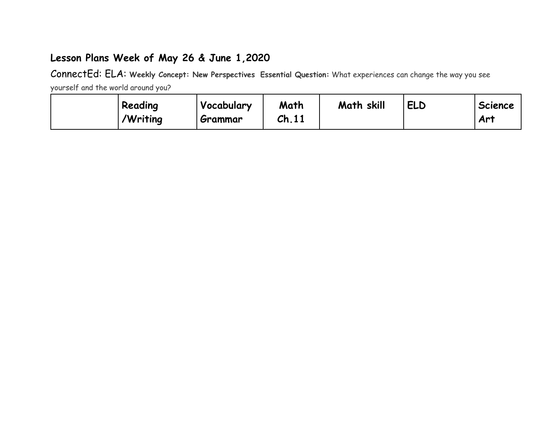## **Lesson Plans Week of May 26 & June 1,2020**

ConnectEd: ELA: **Weekly Concept: New Perspectives Essential Question:** What experiences can change the way you see yourself and the world around you?

**Reading /Writing Vocabulary Grammar Math Ch.11 Math skill ELD Science Art**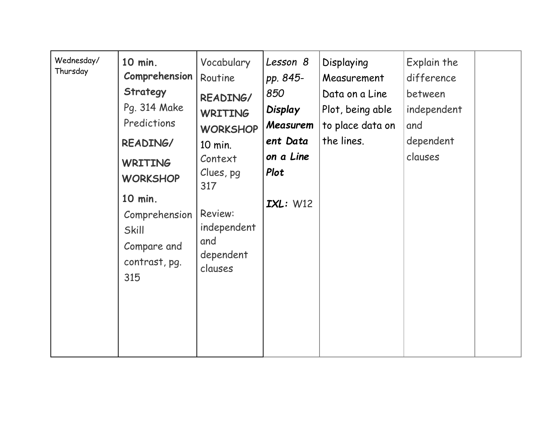| Wednesday/<br>Thursday | 10 min.<br>Comprehension<br>Strategy<br>Pg. 314 Make<br>Predictions<br>READING/<br><b>WRITING</b><br><b>WORKSHOP</b><br>10 min.<br>Comprehension<br><b>Skill</b><br>Compare and<br>contrast, pg.<br>315 | Vocabulary<br>Routine<br>READING/<br><b>WRITING</b><br><b>WORKSHOP</b><br>10 min.<br>Context<br>Clues, pg<br>317<br><b>Review:</b><br>independent<br>and<br>dependent<br>clauses | Lesson 8<br>pp. 845-<br>850<br>Display<br>Measurem<br>ent Data<br>on a Line<br>Plot<br>IXL: W12 | Displaying<br>Measurement<br>Data on a Line<br>Plot, being able<br>to place data on<br>the lines. | Explain the<br>difference<br>between<br>independent<br>and<br>dependent<br>clauses |  |
|------------------------|---------------------------------------------------------------------------------------------------------------------------------------------------------------------------------------------------------|----------------------------------------------------------------------------------------------------------------------------------------------------------------------------------|-------------------------------------------------------------------------------------------------|---------------------------------------------------------------------------------------------------|------------------------------------------------------------------------------------|--|
|------------------------|---------------------------------------------------------------------------------------------------------------------------------------------------------------------------------------------------------|----------------------------------------------------------------------------------------------------------------------------------------------------------------------------------|-------------------------------------------------------------------------------------------------|---------------------------------------------------------------------------------------------------|------------------------------------------------------------------------------------|--|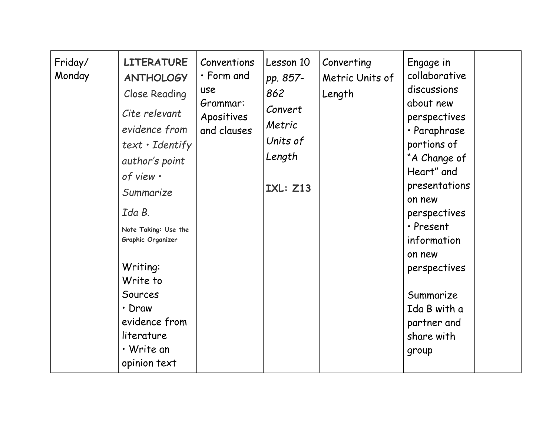| Friday/<br>Monday | <b>LITERATURE</b><br><b>ANTHOLOGY</b><br><b>Close Reading</b><br>Cite relevant<br>evidence from<br>$text \cdot Identity$<br>author's point<br>of view .<br>Summarize<br>Ida B.<br>Note Taking: Use the<br>Graphic Organizer<br>Writing:<br>Write to<br>Sources<br>· Draw<br>evidence from<br>literature<br>• Write an<br>opinion text | Conventions<br>$\cdot$ Form and<br>use<br>Grammar:<br>Apositives<br>and clauses | Lesson 10<br>pp. 857-<br>862<br>Convert<br>Metric<br>Units of<br>Length<br><b>IXL: Z13</b> | Converting<br>Metric Units of<br>Length | Engage in<br>collaborative<br>discussions<br>about new<br>perspectives<br>· Paraphrase<br>portions of<br>"A Change of<br>Heart" and<br>presentations<br>on new<br>perspectives<br>· Present<br>information<br>on new<br>perspectives<br>Summarize<br>Ida B with a<br>partner and<br>share with<br>group |  |
|-------------------|---------------------------------------------------------------------------------------------------------------------------------------------------------------------------------------------------------------------------------------------------------------------------------------------------------------------------------------|---------------------------------------------------------------------------------|--------------------------------------------------------------------------------------------|-----------------------------------------|---------------------------------------------------------------------------------------------------------------------------------------------------------------------------------------------------------------------------------------------------------------------------------------------------------|--|
|-------------------|---------------------------------------------------------------------------------------------------------------------------------------------------------------------------------------------------------------------------------------------------------------------------------------------------------------------------------------|---------------------------------------------------------------------------------|--------------------------------------------------------------------------------------------|-----------------------------------------|---------------------------------------------------------------------------------------------------------------------------------------------------------------------------------------------------------------------------------------------------------------------------------------------------------|--|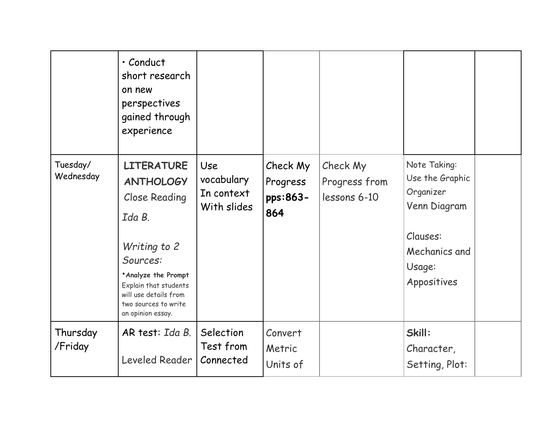|                       | · Conduct<br>short research<br>on new<br>perspectives<br>gained through<br>experience                                                                                                                                    |                                                |                                         |                                           |                                                                                                                    |  |
|-----------------------|--------------------------------------------------------------------------------------------------------------------------------------------------------------------------------------------------------------------------|------------------------------------------------|-----------------------------------------|-------------------------------------------|--------------------------------------------------------------------------------------------------------------------|--|
| Tuesday/<br>Wednesday | <b>LITERATURE</b><br><b>ANTHOLOGY</b><br>Close Reading<br>Ida B.<br>Writing to 2<br>Sources:<br><b>Analyze the Prompt</b><br>Explain that students<br>will use details from<br>two sources to write<br>an opinion essay. | Use<br>vocabulary<br>In context<br>With slides | Check My<br>Progress<br>pps:863-<br>864 | Check My<br>Progress from<br>lessons 6-10 | Note Taking:<br>Use the Graphic<br>Organizer<br>Venn Diagram<br>Clauses:<br>Mechanics and<br>Usage:<br>Appositives |  |
| Thursday<br>/Friday   | AR test: Ida B.<br>Leveled Reader                                                                                                                                                                                        | Selection<br>Test from<br>Connected            | Convert<br>Metric<br>Units of           |                                           | Skill:<br>Character,<br>Setting, Plot:                                                                             |  |